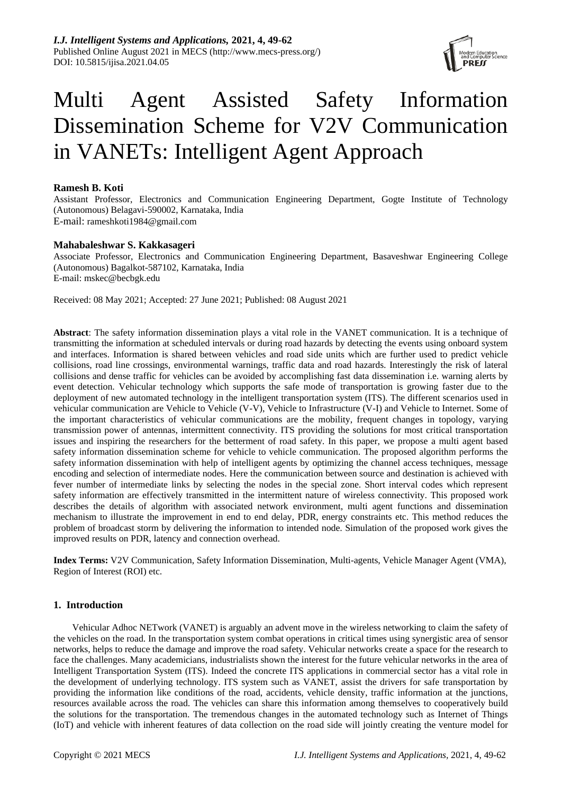

# Multi Agent Assisted Safety Information Dissemination Scheme for V2V Communication in VANETs: Intelligent Agent Approach

# **Ramesh B. Koti**

Assistant Professor, Electronics and Communication Engineering Department, Gogte Institute of Technology (Autonomous) Belagavi-590002, Karnataka, India E-mail: rameshkoti1984@gmail.com

# **Mahabaleshwar S. Kakkasageri**

Associate Professor, Electronics and Communication Engineering Department, Basaveshwar Engineering College (Autonomous) Bagalkot-587102, Karnataka, India E-mail: mskec@becbgk.edu

Received: 08 May 2021; Accepted: 27 June 2021; Published: 08 August 2021

**Abstract**: The safety information dissemination plays a vital role in the VANET communication. It is a technique of transmitting the information at scheduled intervals or during road hazards by detecting the events using onboard system and interfaces. Information is shared between vehicles and road side units which are further used to predict vehicle collisions, road line crossings, environmental warnings, traffic data and road hazards. Interestingly the risk of lateral collisions and dense traffic for vehicles can be avoided by accomplishing fast data dissemination i.e. warning alerts by event detection. Vehicular technology which supports the safe mode of transportation is growing faster due to the deployment of new automated technology in the intelligent transportation system (ITS). The different scenarios used in vehicular communication are Vehicle to Vehicle (V-V), Vehicle to Infrastructure (V-I) and Vehicle to Internet. Some of the important characteristics of vehicular communications are the mobility, frequent changes in topology, varying transmission power of antennas, intermittent connectivity. ITS providing the solutions for most critical transportation issues and inspiring the researchers for the betterment of road safety. In this paper, we propose a multi agent based safety information dissemination scheme for vehicle to vehicle communication. The proposed algorithm performs the safety information dissemination with help of intelligent agents by optimizing the channel access techniques, message encoding and selection of intermediate nodes. Here the communication between source and destination is achieved with fever number of intermediate links by selecting the nodes in the special zone. Short interval codes which represent safety information are effectively transmitted in the intermittent nature of wireless connectivity. This proposed work describes the details of algorithm with associated network environment, multi agent functions and dissemination mechanism to illustrate the improvement in end to end delay, PDR, energy constraints etc. This method reduces the problem of broadcast storm by delivering the information to intended node. Simulation of the proposed work gives the improved results on PDR, latency and connection overhead.

**Index Terms:** V2V Communication, Safety Information Dissemination, Multi-agents, Vehicle Manager Agent (VMA), Region of Interest (ROI) etc.

# **1. Introduction**

Vehicular Adhoc NETwork (VANET) is arguably an advent move in the wireless networking to claim the safety of the vehicles on the road. In the transportation system combat operations in critical times using synergistic area of sensor networks, helps to reduce the damage and improve the road safety. Vehicular networks create a space for the research to face the challenges. Many academicians, industrialists shown the interest for the future vehicular networks in the area of Intelligent Transportation System (ITS). Indeed the concrete ITS applications in commercial sector has a vital role in the development of underlying technology. ITS system such as VANET, assist the drivers for safe transportation by providing the information like conditions of the road, accidents, vehicle density, traffic information at the junctions, resources available across the road. The vehicles can share this information among themselves to cooperatively build the solutions for the transportation. The tremendous changes in the automated technology such as Internet of Things (IoT) and vehicle with inherent features of data collection on the road side will jointly creating the venture model for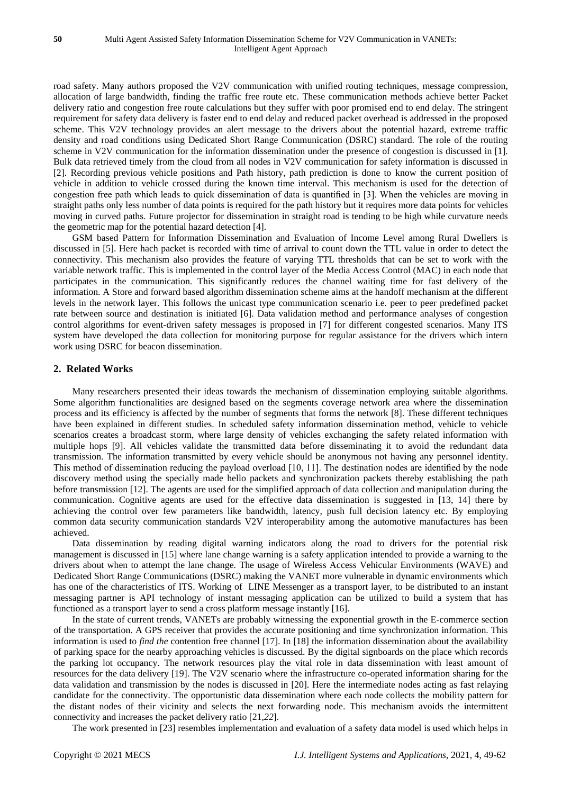road safety. Many authors proposed the V2V communication with unified routing techniques, message compression, allocation of large bandwidth, finding the traffic free route etc. These communication methods achieve better Packet delivery ratio and congestion free route calculations but they suffer with poor promised end to end delay. The stringent requirement for safety data delivery is faster end to end delay and reduced packet overhead is addressed in the proposed scheme. This V2V technology provides an alert message to the drivers about the potential hazard, extreme traffic density and road conditions using Dedicated Short Range Communication (DSRC) standard. The role of the routing scheme in V2V communication for the information dissemination under the presence of congestion is discussed in [1]. Bulk data retrieved timely from the cloud from all nodes in V2V communication for safety information is discussed in [2]. Recording previous vehicle positions and Path history, path prediction is done to know the current position of vehicle in addition to vehicle crossed during the known time interval. This mechanism is used for the detection of congestion free path which leads to quick dissemination of data is quantified in [3]. When the vehicles are moving in straight paths only less number of data points is required for the path history but it requires more data points for vehicles moving in curved paths. Future projector for dissemination in straight road is tending to be high while curvature needs the geometric map for the potential hazard detection [4].

GSM based Pattern for Information Dissemination and Evaluation of Income Level among Rural Dwellers is discussed in [5]. Here hach packet is recorded with time of arrival to count down the TTL value in order to detect the connectivity. This mechanism also provides the feature of varying TTL thresholds that can be set to work with the variable network traffic. This is implemented in the control layer of the Media Access Control (MAC) in each node that participates in the communication. This significantly reduces the channel waiting time for fast delivery of the information. A Store and forward based algorithm dissemination scheme aims at the handoff mechanism at the different levels in the network layer. This follows the unicast type communication scenario i.e. peer to peer predefined packet rate between source and destination is initiated [6]. Data validation method and performance analyses of congestion control algorithms for event-driven safety messages is proposed in [7] for different congested scenarios. Many ITS system have developed the data collection for monitoring purpose for regular assistance for the drivers which intern work using DSRC for beacon dissemination.

### **2. Related Works**

Many researchers presented their ideas towards the mechanism of dissemination employing suitable algorithms. Some algorithm functionalities are designed based on the segments coverage network area where the dissemination process and its efficiency is affected by the number of segments that forms the network [8]. These different techniques have been explained in different studies. In scheduled safety information dissemination method, vehicle to vehicle scenarios creates a broadcast storm, where large density of vehicles exchanging the safety related information with multiple hops [9]. All vehicles validate the transmitted data before disseminating it to avoid the redundant data transmission. The information transmitted by every vehicle should be anonymous not having any personnel identity. This method of dissemination reducing the payload overload [10, 11]. The destination nodes are identified by the node discovery method using the specially made hello packets and synchronization packets thereby establishing the path before transmission [12]. The agents are used for the simplified approach of data collection and manipulation during the communication. Cognitive agents are used for the effective data dissemination is suggested in [13, 14] there by achieving the control over few parameters like bandwidth, latency, push full decision latency etc. By employing common data security communication standards V2V interoperability among the automotive manufactures has been achieved.

Data dissemination by reading digital warning indicators along the road to drivers for the potential risk management is discussed in [15] where lane change warning is a safety application intended to provide a warning to the drivers about when to attempt the lane change. The usage of Wireless Access Vehicular Environments (WAVE) and Dedicated Short Range Communications (DSRC) making the VANET more vulnerable in dynamic environments which has one of the characteristics of ITS. Working of LINE Messenger as a transport layer, to be distributed to an instant messaging partner is API technology of instant messaging application can be utilized to build a system that has functioned as a transport layer to send a cross platform message instantly [16].

In the state of current trends, VANETs are probably witnessing the exponential growth in the E-commerce section of the transportation. A GPS receiver that provides the accurate positioning and time synchronization information. This information is used to *find the* contention free channel [17]. In [18] the information dissemination about the availability of parking space for the nearby approaching vehicles is discussed. By the digital signboards on the place which records the parking lot occupancy. The network resources play the vital role in data dissemination with least amount of resources for the data delivery [19]. The V2V scenario where the infrastructure co-operated information sharing for the data validation and transmission by the nodes is discussed in [20]. Here the intermediate nodes acting as fast relaying candidate for the connectivity. The opportunistic data dissemination where each node collects the mobility pattern for the distant nodes of their vicinity and selects the next forwarding node. This mechanism avoids the intermittent connectivity and increases the packet delivery ratio [21*,22*].

The work presented in [23] resembles implementation and evaluation of a safety data model is used which helps in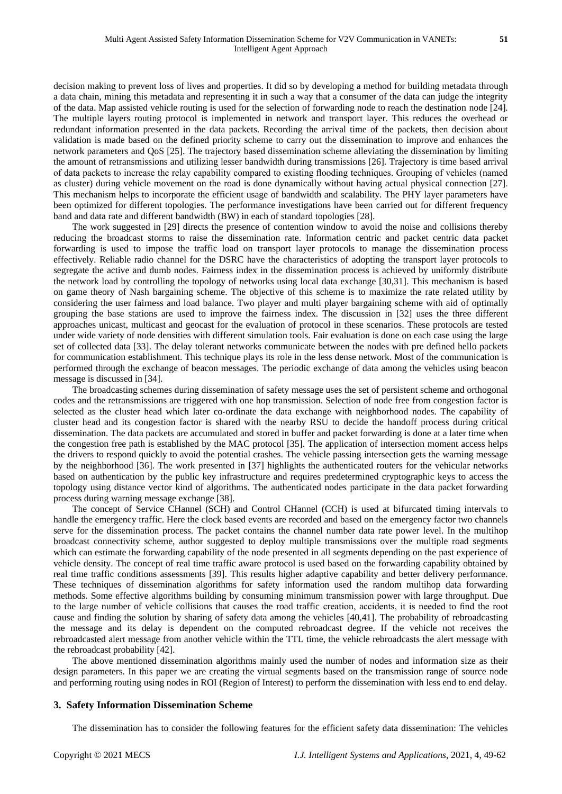decision making to prevent loss of lives and properties. It did so by developing a method for building metadata through a data chain, mining this metadata and representing it in such a way that a consumer of the data can judge the integrity of the data. Map assisted vehicle routing is used for the selection of forwarding node to reach the destination node [24]*.*  The multiple layers routing protocol is implemented in network and transport layer. This reduces the overhead or redundant information presented in the data packets. Recording the arrival time of the packets, then decision about validation is made based on the defined priority scheme to carry out the dissemination to improve and enhances the network parameters and QoS [25]. The trajectory based dissemination scheme alleviating the dissemination by limiting the amount of retransmissions and utilizing lesser bandwidth during transmissions [26]. Trajectory is time based arrival of data packets to increase the relay capability compared to existing flooding techniques. Grouping of vehicles (named as cluster) during vehicle movement on the road is done dynamically without having actual physical connection [27]. This mechanism helps to incorporate the efficient usage of bandwidth and scalability. The PHY layer parameters have been optimized for different topologies. The performance investigations have been carried out for different frequency band and data rate and different bandwidth (BW) in each of standard topologies [28].

The work suggested in [29] directs the presence of contention window to avoid the noise and collisions thereby reducing the broadcast storms to raise the dissemination rate. Information centric and packet centric data packet forwarding is used to impose the traffic load on transport layer protocols to manage the dissemination process effectively. Reliable radio channel for the DSRC have the characteristics of adopting the transport layer protocols to segregate the active and dumb nodes. Fairness index in the dissemination process is achieved by uniformly distribute the network load by controlling the topology of networks using local data exchange [30,31]. This mechanism is based on game theory of Nash bargaining scheme. The objective of this scheme is to maximize the rate related utility by considering the user fairness and load balance. Two player and multi player bargaining scheme with aid of optimally grouping the base stations are used to improve the fairness index. The discussion in [32] uses the three different approaches unicast, multicast and geocast for the evaluation of protocol in these scenarios. These protocols are tested under wide variety of node densities with different simulation tools. Fair evaluation is done on each case using the large set of collected data [33]. The delay tolerant networks communicate between the nodes with pre defined hello packets for communication establishment. This technique plays its role in the less dense network. Most of the communication is performed through the exchange of beacon messages. The periodic exchange of data among the vehicles using beacon message is discussed in [34].

The broadcasting schemes during dissemination of safety message uses the set of persistent scheme and orthogonal codes and the retransmissions are triggered with one hop transmission. Selection of node free from congestion factor is selected as the cluster head which later co-ordinate the data exchange with neighborhood nodes. The capability of cluster head and its congestion factor is shared with the nearby RSU to decide the handoff process during critical dissemination. The data packets are accumulated and stored in buffer and packet forwarding is done at a later time when the congestion free path is established by the MAC protocol [35]. The application of intersection moment access helps the drivers to respond quickly to avoid the potential crashes. The vehicle passing intersection gets the warning message by the neighborhood [36]. The work presented in [37] highlights the authenticated routers for the vehicular networks based on authentication by the public key infrastructure and requires predetermined cryptographic keys to access the topology using distance vector kind of algorithms. The authenticated nodes participate in the data packet forwarding process during warning message exchange [38].

The concept of Service CHannel (SCH) and Control CHannel (CCH) is used at bifurcated timing intervals to handle the emergency traffic. Here the clock based events are recorded and based on the emergency factor two channels serve for the dissemination process. The packet contains the channel number data rate power level. In the multihop broadcast connectivity scheme, author suggested to deploy multiple transmissions over the multiple road segments which can estimate the forwarding capability of the node presented in all segments depending on the past experience of vehicle density. The concept of real time traffic aware protocol is used based on the forwarding capability obtained by real time traffic conditions assessments [39]. This results higher adaptive capability and better delivery performance. These techniques of dissemination algorithms for safety information used the random multihop data forwarding methods. Some effective algorithms building by consuming minimum transmission power with large throughput. Due to the large number of vehicle collisions that causes the road traffic creation, accidents, it is needed to find the root cause and finding the solution by sharing of safety data among the vehicles [40,41]. The probability of rebroadcasting the message and its delay is dependent on the computed rebroadcast degree. If the vehicle not receives the rebroadcasted alert message from another vehicle within the TTL time, the vehicle rebroadcasts the alert message with the rebroadcast probability [42].

The above mentioned dissemination algorithms mainly used the number of nodes and information size as their design parameters. In this paper we are creating the virtual segments based on the transmission range of source node and performing routing using nodes in ROI (Region of Interest) to perform the dissemination with less end to end delay.

#### **3. Safety Information Dissemination Scheme**

The dissemination has to consider the following features for the efficient safety data dissemination: The vehicles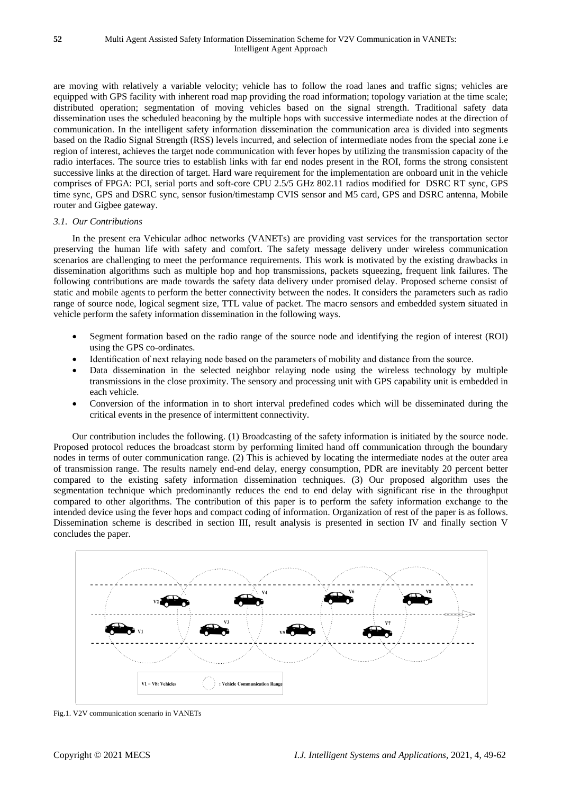are moving with relatively a variable velocity; vehicle has to follow the road lanes and traffic signs; vehicles are equipped with GPS facility with inherent road map providing the road information; topology variation at the time scale; distributed operation; segmentation of moving vehicles based on the signal strength. Traditional safety data dissemination uses the scheduled beaconing by the multiple hops with successive intermediate nodes at the direction of communication. In the intelligent safety information dissemination the communication area is divided into segments based on the Radio Signal Strength (RSS) levels incurred, and selection of intermediate nodes from the special zone i.e region of interest, achieves the target node communication with fever hopes by utilizing the transmission capacity of the radio interfaces. The source tries to establish links with far end nodes present in the ROI, forms the strong consistent successive links at the direction of target. Hard ware requirement for the implementation are onboard unit in the vehicle comprises of FPGA: PCI, serial ports and soft-core CPU 2.5/5 GHz 802.11 radios modified for DSRC RT sync, GPS time sync, GPS and DSRC sync, sensor fusion/timestamp CVIS sensor and M5 card, GPS and DSRC antenna, Mobile router and Gigbee gateway.

## *3.1. Our Contributions*

In the present era Vehicular adhoc networks (VANETs) are providing vast services for the transportation sector preserving the human life with safety and comfort. The safety message delivery under wireless communication scenarios are challenging to meet the performance requirements. This work is motivated by the existing drawbacks in dissemination algorithms such as multiple hop and hop transmissions, packets squeezing, frequent link failures. The following contributions are made towards the safety data delivery under promised delay. Proposed scheme consist of static and mobile agents to perform the better connectivity between the nodes. It considers the parameters such as radio range of source node, logical segment size, TTL value of packet. The macro sensors and embedded system situated in vehicle perform the safety information dissemination in the following ways.

- Segment formation based on the radio range of the source node and identifying the region of interest (ROI) using the GPS co-ordinates.
- Identification of next relaying node based on the parameters of mobility and distance from the source.
- Data dissemination in the selected neighbor relaying node using the wireless technology by multiple transmissions in the close proximity. The sensory and processing unit with GPS capability unit is embedded in each vehicle.
- Conversion of the information in to short interval predefined codes which will be disseminated during the critical events in the presence of intermittent connectivity.

Our contribution includes the following. (1) Broadcasting of the safety information is initiated by the source node. Proposed protocol reduces the broadcast storm by performing limited hand off communication through the boundary nodes in terms of outer communication range. (2) This is achieved by locating the intermediate nodes at the outer area of transmission range. The results namely end-end delay, energy consumption, PDR are inevitably 20 percent better compared to the existing safety information dissemination techniques. (3) Our proposed algorithm uses the segmentation technique which predominantly reduces the end to end delay with significant rise in the throughput compared to other algorithms. The contribution of this paper is to perform the safety information exchange to the intended device using the fever hops and compact coding of information. Organization of rest of the paper is as follows. Dissemination scheme is described in section III, result analysis is presented in section IV and finally section V concludes the paper.



Fig.1. V2V communication scenario in VANETs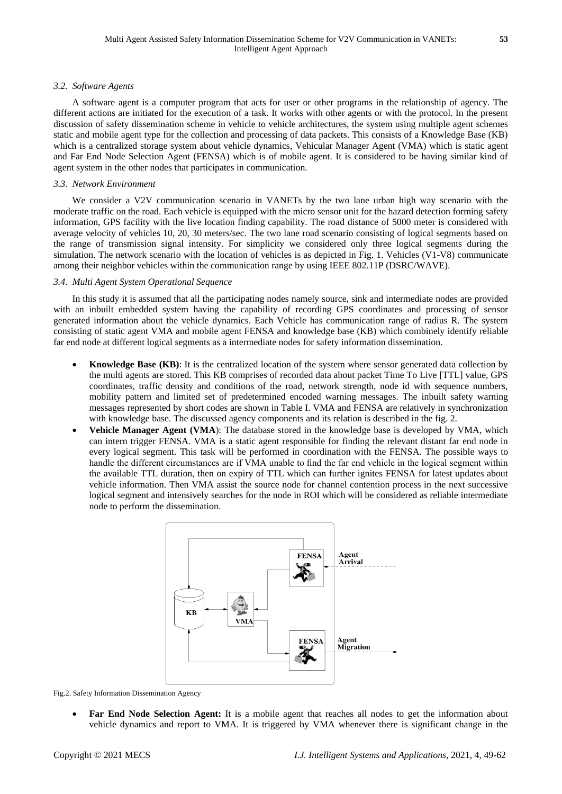#### *3.2. Software Agents*

A software agent is a computer program that acts for user or other programs in the relationship of agency. The different actions are initiated for the execution of a task. It works with other agents or with the protocol. In the present discussion of safety dissemination scheme in vehicle to vehicle architectures, the system using multiple agent schemes static and mobile agent type for the collection and processing of data packets. This consists of a Knowledge Base (KB) which is a centralized storage system about vehicle dynamics, Vehicular Manager Agent (VMA) which is static agent and Far End Node Selection Agent (FENSA) which is of mobile agent. It is considered to be having similar kind of agent system in the other nodes that participates in communication.

#### *3.3. Network Environment*

We consider a V2V communication scenario in VANETs by the two lane urban high way scenario with the moderate traffic on the road. Each vehicle is equipped with the micro sensor unit for the hazard detection forming safety information, GPS facility with the live location finding capability. The road distance of 5000 meter is considered with average velocity of vehicles 10, 20, 30 meters/sec. The two lane road scenario consisting of logical segments based on the range of transmission signal intensity. For simplicity we considered only three logical segments during the simulation. The network scenario with the location of vehicles is as depicted in Fig. 1. Vehicles (V1-V8) communicate among their neighbor vehicles within the communication range by using IEEE 802.11P (DSRC/WAVE).

#### *3.4. Multi Agent System Operational Sequence*

In this study it is assumed that all the participating nodes namely source, sink and intermediate nodes are provided with an inbuilt embedded system having the capability of recording GPS coordinates and processing of sensor generated information about the vehicle dynamics. Each Vehicle has communication range of radius R. The system consisting of static agent VMA and mobile agent FENSA and knowledge base (KB) which combinely identify reliable far end node at different logical segments as a intermediate nodes for safety information dissemination.

- **Knowledge Base (KB)**: It is the centralized location of the system where sensor generated data collection by the multi agents are stored. This KB comprises of recorded data about packet Time To Live [TTL] value, GPS coordinates, traffic density and conditions of the road, network strength, node id with sequence numbers, mobility pattern and limited set of predetermined encoded warning messages. The inbuilt safety warning messages represented by short codes are shown in Table I. VMA and FENSA are relatively in synchronization with knowledge base. The discussed agency components and its relation is described in the fig. 2.
- **Vehicle Manager Agent (VMA**): The database stored in the knowledge base is developed by VMA, which can intern trigger FENSA. VMA is a static agent responsible for finding the relevant distant far end node in every logical segment. This task will be performed in coordination with the FENSA. The possible ways to handle the different circumstances are if VMA unable to find the far end vehicle in the logical segment within the available TTL duration, then on expiry of TTL which can further ignites FENSA for latest updates about vehicle information. Then VMA assist the source node for channel contention process in the next successive logical segment and intensively searches for the node in ROI which will be considered as reliable intermediate node to perform the dissemination.



Fig.2. Safety Information Dissemination Agency

• **Far End Node Selection Agent:** It is a mobile agent that reaches all nodes to get the information about vehicle dynamics and report to VMA. It is triggered by VMA whenever there is significant change in the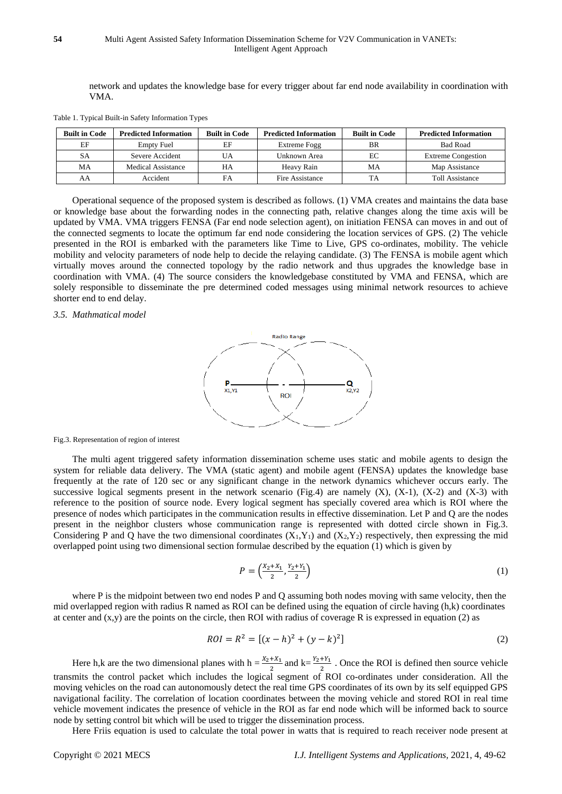#### **54** Multi Agent Assisted Safety Information Dissemination Scheme for V2V Communication in VANETs: Intelligent Agent Approach

network and updates the knowledge base for every trigger about far end node availability in coordination with VMA.

| Table 1. Typical Built-in Safety Information Types |  |
|----------------------------------------------------|--|
|----------------------------------------------------|--|

| <b>Built in Code</b> | <b>Predicted Information</b> | <b>Built in Code</b> | <b>Predicted Information</b> | <b>Built in Code</b> | <b>Predicted Information</b> |
|----------------------|------------------------------|----------------------|------------------------------|----------------------|------------------------------|
| EF                   | <b>Empty Fuel</b>            | EF                   | Extreme Fogg                 | BR                   | <b>Bad Road</b>              |
| SΑ                   | Severe Accident              | UA                   | Unknown Area                 | EC                   | <b>Extreme Congestion</b>    |
| MA                   | Medical Assistance           | HA                   | Heavy Rain                   | MA                   | Map Assistance               |
| AA                   | Accident                     | FA                   | Fire Assistance              | TA                   | <b>Toll Assistance</b>       |

Operational sequence of the proposed system is described as follows. (1) VMA creates and maintains the data base or knowledge base about the forwarding nodes in the connecting path, relative changes along the time axis will be updated by VMA. VMA triggers FENSA (Far end node selection agent), on initiation FENSA can moves in and out of the connected segments to locate the optimum far end node considering the location services of GPS. (2) The vehicle presented in the ROI is embarked with the parameters like Time to Live, GPS co-ordinates, mobility. The vehicle mobility and velocity parameters of node help to decide the relaying candidate. (3) The FENSA is mobile agent which virtually moves around the connected topology by the radio network and thus upgrades the knowledge base in coordination with VMA. (4) The source considers the knowledgebase constituted by VMA and FENSA, which are solely responsible to disseminate the pre determined coded messages using minimal network resources to achieve shorter end to end delay.

#### *3.5. Mathmatical model*



Fig.3. Representation of region of interest

The multi agent triggered safety information dissemination scheme uses static and mobile agents to design the system for reliable data delivery. The VMA (static agent) and mobile agent (FENSA) updates the knowledge base frequently at the rate of 120 sec or any significant change in the network dynamics whichever occurs early. The successive logical segments present in the network scenario (Fig.4) are namely  $(X)$ ,  $(X-1)$ ,  $(X-2)$  and  $(X-3)$  with reference to the position of source node. Every logical segment has specially covered area which is ROI where the presence of nodes which participates in the communication results in effective dissemination. Let P and Q are the nodes present in the neighbor clusters whose communication range is represented with dotted circle shown in Fig.3. Considering P and Q have the two dimensional coordinates  $(X_1, Y_1)$  and  $(X_2, Y_2)$  respectively, then expressing the mid overlapped point using two dimensional section formulae described by the equation (1) which is given by

$$
P = \left(\frac{x_2 + x_1}{2}, \frac{y_2 + y_1}{2}\right) \tag{1}
$$

where P is the midpoint between two end nodes P and Q assuming both nodes moving with same velocity, then the mid overlapped region with radius R named as ROI can be defined using the equation of circle having (h,k) coordinates at center and  $(x,y)$  are the points on the circle, then ROI with radius of coverage R is expressed in equation (2) as

$$
ROI = R^2 = [(x - h)^2 + (y - k)^2]
$$
\n(2)

Here h,k are the two dimensional planes with  $h = \frac{x_2 + x_1}{2}$  and  $k = \frac{y_2 + y_1}{2}$ . Once the ROI is defined then source vehicle transmits the control packet which includes the logical segment of ROI co-ordinates under consideration. All the moving vehicles on the road can autonomously detect the real time GPS coordinates of its own by its self equipped GPS navigational facility. The correlation of location coordinates between the moving vehicle and stored ROI in real time vehicle movement indicates the presence of vehicle in the ROI as far end node which will be informed back to source node by setting control bit which will be used to trigger the dissemination process.

Here Friis equation is used to calculate the total power in watts that is required to reach receiver node present at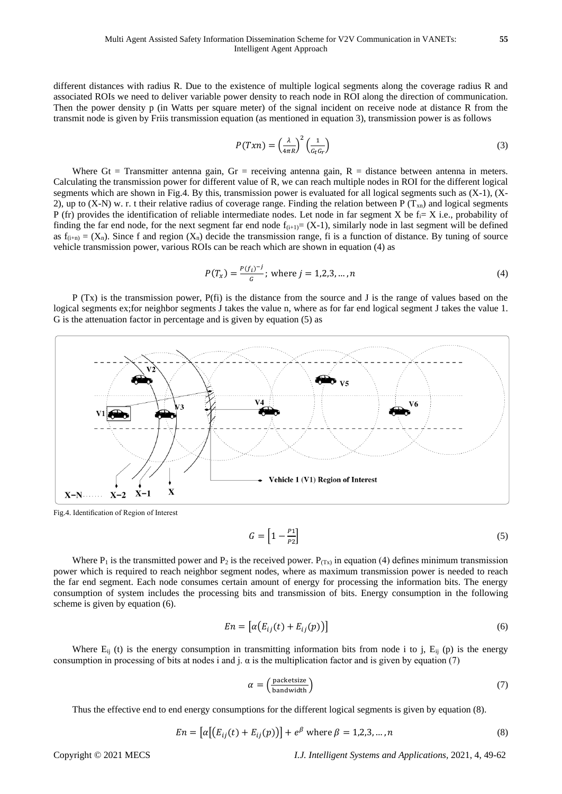different distances with radius R. Due to the existence of multiple logical segments along the coverage radius R and associated ROIs we need to deliver variable power density to reach node in ROI along the direction of communication. Then the power density p (in Watts per square meter) of the signal incident on receive node at distance R from the transmit node is given by Friis transmission equation (as mentioned in equation 3), transmission power is as follows

$$
P(Txn) = \left(\frac{\lambda}{4\pi R}\right)^2 \left(\frac{1}{G_t G_r}\right) \tag{3}
$$

Where Gt = Transmitter antenna gain, Gr = receiving antenna gain, R = distance between antenna in meters. Calculating the transmission power for different value of R, we can reach multiple nodes in ROI for the different logical segments which are shown in Fig.4. By this, transmission power is evaluated for all logical segments such as (X-1), (X-2), up to  $(X-N)$  w. r. t their relative radius of coverage range. Finding the relation between P  $(T_{yn})$  and logical segments P (fr) provides the identification of reliable intermediate nodes. Let node in far segment X be  $f_i = X$  i.e., probability of finding the far end node, for the next segment far end node  $f_{(i+1)} = (X-1)$ , similarly node in last segment will be defined as  $f_{(i+n)} = (X_n)$ . Since f and region  $(X_n)$  decide the transmission range, fi is a function of distance. By tuning of source vehicle transmission power, various ROIs can be reach which are shown in equation (4) as

$$
P(T_x) = \frac{P(f_i)^{-j}}{G}; \text{ where } j = 1, 2, 3, ..., n
$$
 (4)

P (Tx) is the transmission power, P(fi) is the distance from the source and J is the range of values based on the logical segments ex;for neighbor segments J takes the value n, where as for far end logical segment J takes the value 1. G is the attenuation factor in percentage and is given by equation (5) as



Fig.4. Identification of Region of Interest

$$
G = \left[1 - \frac{P1}{P2}\right] \tag{5}
$$

Where  $P_1$  is the transmitted power and  $P_2$  is the received power.  $P_{(Tx)}$  in equation (4) defines minimum transmission power which is required to reach neighbor segment nodes, where as maximum transmission power is needed to reach the far end segment. Each node consumes certain amount of energy for processing the information bits. The energy consumption of system includes the processing bits and transmission of bits. Energy consumption in the following scheme is given by equation (6).

$$
En = \left[ \alpha \big( E_{ij}(t) + E_{ij}(p) \big) \right] \tag{6}
$$

Where  $E_{ii}$  (t) is the energy consumption in transmitting information bits from node i to j,  $E_{ii}$  (p) is the energy consumption in processing of bits at nodes i and j.  $\alpha$  is the multiplication factor and is given by equation (7)

$$
\alpha = \left(\frac{\text{packetsize}}{\text{bandwidth}}\right) \tag{7}
$$

Thus the effective end to end energy consumptions for the different logical segments is given by equation (8).

$$
En = [a[(E_{ij}(t) + E_{ij}(p))] + e^{\beta} \text{ where } \beta = 1, 2, 3, ..., n
$$
\n(8)

Copyright © 2021 MECS *I.J. Intelligent Systems and Applications,* 2021, 4, 49-62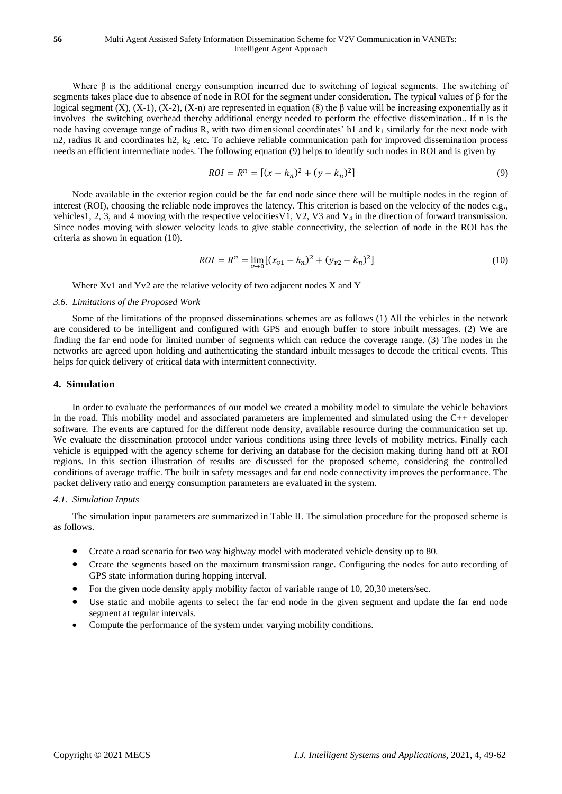Where  $\beta$  is the additional energy consumption incurred due to switching of logical segments. The switching of segments takes place due to absence of node in ROI for the segment under consideration. The typical values of  $\beta$  for the logical segment (X), (X-1), (X-2), (X-n) are represented in equation (8) the β value will be increasing exponentially as it involves the switching overhead thereby additional energy needed to perform the effective dissemination.. If n is the node having coverage range of radius R, with two dimensional coordinates' h1 and  $k_1$  similarly for the next node with n2, radius R and coordinates h2,  $k_2$  .etc. To achieve reliable communication path for improved dissemination process needs an efficient intermediate nodes. The following equation (9) helps to identify such nodes in ROI and is given by

$$
ROI = Rn = [(x - hn)2 + (y - kn)2]
$$
\n(9)

Node available in the exterior region could be the far end node since there will be multiple nodes in the region of interest (ROI), choosing the reliable node improves the latency. This criterion is based on the velocity of the nodes e.g., vehicles1, 2, 3, and 4 moving with the respective velocities V1, V2, V3 and V<sub>4</sub> in the direction of forward transmission. Since nodes moving with slower velocity leads to give stable connectivity, the selection of node in the ROI has the criteria as shown in equation (10).

$$
ROI = Rn = \lim_{\nu \to 0} [(x_{\nu 1} - h_n)^2 + (y_{\nu 2} - k_n)^2]
$$
\n(10)

Where Xv1 and Yv2 are the relative velocity of two adjacent nodes X and Y

#### *3.6. Limitations of the Proposed Work*

Some of the limitations of the proposed disseminations schemes are as follows (1) All the vehicles in the network are considered to be intelligent and configured with GPS and enough buffer to store inbuilt messages. (2) We are finding the far end node for limited number of segments which can reduce the coverage range. (3) The nodes in the networks are agreed upon holding and authenticating the standard inbuilt messages to decode the critical events. This helps for quick delivery of critical data with intermittent connectivity.

## **4. Simulation**

In order to evaluate the performances of our model we created a mobility model to simulate the vehicle behaviors in the road. This mobility model and associated parameters are implemented and simulated using the C++ developer software. The events are captured for the different node density, available resource during the communication set up. We evaluate the dissemination protocol under various conditions using three levels of mobility metrics. Finally each vehicle is equipped with the agency scheme for deriving an database for the decision making during hand off at ROI regions. In this section illustration of results are discussed for the proposed scheme, considering the controlled conditions of average traffic. The built in safety messages and far end node connectivity improves the performance. The packet delivery ratio and energy consumption parameters are evaluated in the system.

#### *4.1. Simulation Inputs*

The simulation input parameters are summarized in Table II. The simulation procedure for the proposed scheme is as follows.

- Create a road scenario for two way highway model with moderated vehicle density up to 80.
- Create the segments based on the maximum transmission range. Configuring the nodes for auto recording of GPS state information during hopping interval.
- For the given node density apply mobility factor of variable range of 10, 20,30 meters/sec.
- Use static and mobile agents to select the far end node in the given segment and update the far end node segment at regular intervals.
- Compute the performance of the system under varying mobility conditions.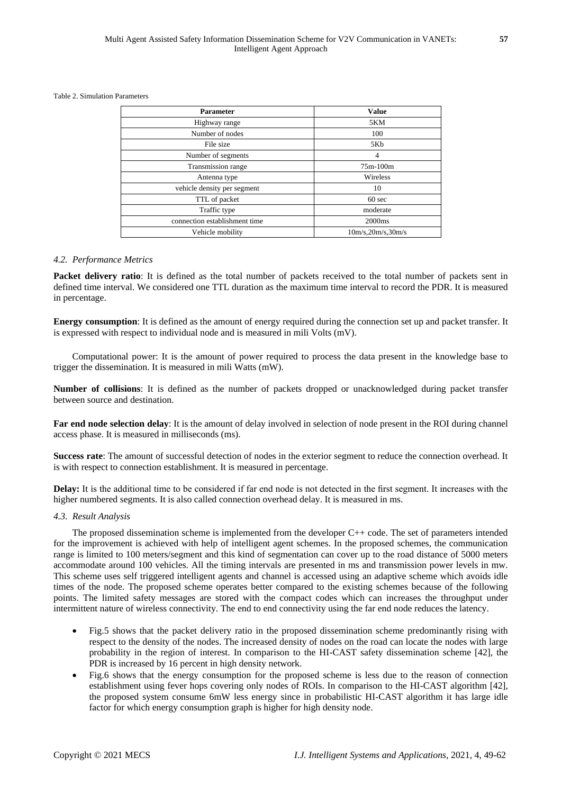Table 2. Simulation Parameters

| <b>Parameter</b>              | <b>Value</b>        |  |
|-------------------------------|---------------------|--|
| Highway range                 | 5KM                 |  |
| Number of nodes               | 100                 |  |
| File size                     | 5Kb                 |  |
| Number of segments            | 4                   |  |
| Transmission range            | $75m-100m$          |  |
| Antenna type                  | Wireless            |  |
| vehicle density per segment   | 10                  |  |
| TTL of packet                 | 60 sec              |  |
| Traffic type                  | moderate            |  |
| connection establishment time | 2000 <sub>ms</sub>  |  |
| Vehicle mobility              | 10m/s, 20m/s, 30m/s |  |

## *4.2. Performance Metrics*

**Packet delivery ratio**: It is defined as the total number of packets received to the total number of packets sent in defined time interval. We considered one TTL duration as the maximum time interval to record the PDR. It is measured in percentage.

**Energy consumption**: It is defined as the amount of energy required during the connection set up and packet transfer. It is expressed with respect to individual node and is measured in mili Volts (mV).

Computational power: It is the amount of power required to process the data present in the knowledge base to trigger the dissemination. It is measured in mili Watts (mW).

**Number of collisions**: It is defined as the number of packets dropped or unacknowledged during packet transfer between source and destination.

**Far end node selection delay**: It is the amount of delay involved in selection of node present in the ROI during channel access phase. It is measured in milliseconds (ms).

**Success rate**: The amount of successful detection of nodes in the exterior segment to reduce the connection overhead. It is with respect to connection establishment. It is measured in percentage.

**Delay:** It is the additional time to be considered if far end node is not detected in the first segment. It increases with the higher numbered segments. It is also called connection overhead delay. It is measured in ms.

# *4.3. Result Analysis*

The proposed dissemination scheme is implemented from the developer C++ code. The set of parameters intended for the improvement is achieved with help of intelligent agent schemes. In the proposed schemes, the communication range is limited to 100 meters/segment and this kind of segmentation can cover up to the road distance of 5000 meters accommodate around 100 vehicles. All the timing intervals are presented in ms and transmission power levels in mw. This scheme uses self triggered intelligent agents and channel is accessed using an adaptive scheme which avoids idle times of the node. The proposed scheme operates better compared to the existing schemes because of the following points. The limited safety messages are stored with the compact codes which can increases the throughput under intermittent nature of wireless connectivity. The end to end connectivity using the far end node reduces the latency.

- Fig.5 shows that the packet delivery ratio in the proposed dissemination scheme predominantly rising with respect to the density of the nodes. The increased density of nodes on the road can locate the nodes with large probability in the region of interest. In comparison to the HI-CAST safety dissemination scheme [42], the PDR is increased by 16 percent in high density network.
- Fig.6 shows that the energy consumption for the proposed scheme is less due to the reason of connection establishment using fever hops covering only nodes of ROIs. In comparison to the HI-CAST algorithm [42], the proposed system consume 6mW less energy since in probabilistic HI-CAST algorithm it has large idle factor for which energy consumption graph is higher for high density node.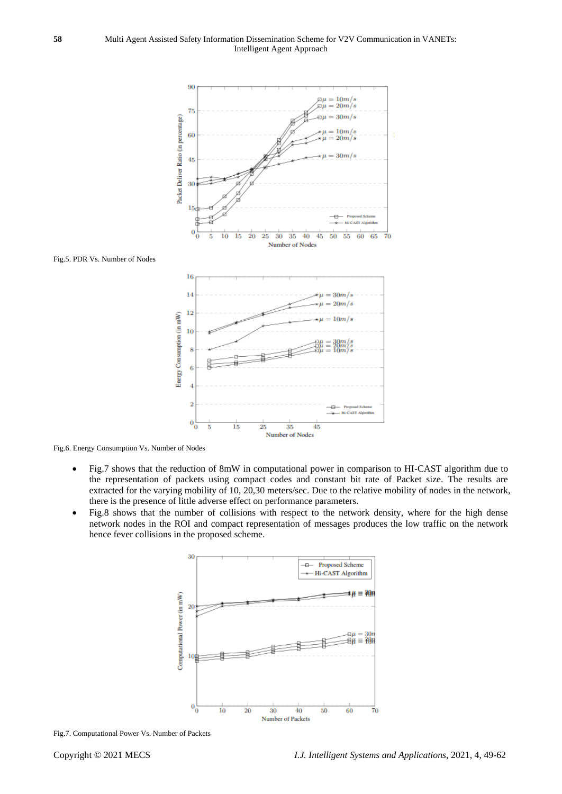

Fig.5. PDR Vs. Number of Nodes

Fig.6. Energy Consumption Vs. Number of Nodes

• Fig.7 shows that the reduction of 8mW in computational power in comparison to HI-CAST algorithm due to the representation of packets using compact codes and constant bit rate of Packet size. The results are extracted for the varying mobility of 10, 20,30 meters/sec. Due to the relative mobility of nodes in the network, there is the presence of little adverse effect on performance parameters.

Number of Nodes

• Fig.8 shows that the number of collisions with respect to the network density, where for the high dense network nodes in the ROI and compact representation of messages produces the low traffic on the network hence fever collisions in the proposed scheme.



Fig.7. Computational Power Vs. Number of Packets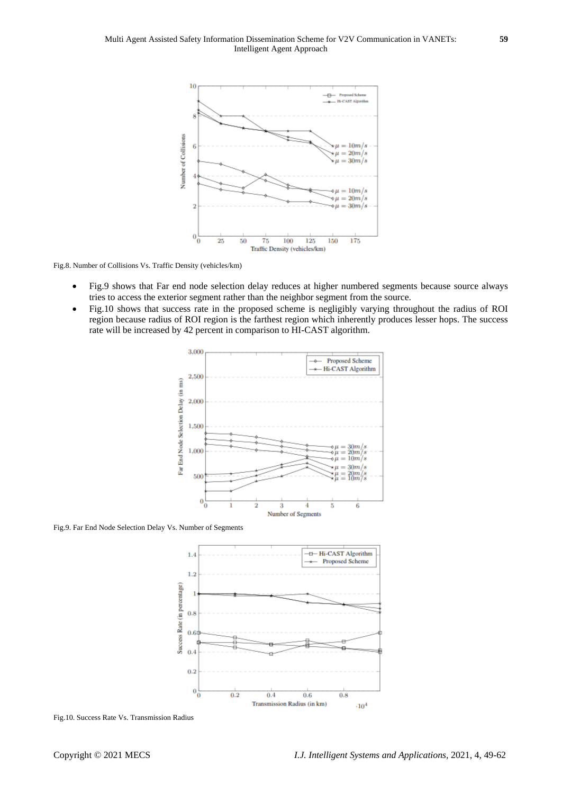

Fig.8. Number of Collisions Vs. Traffic Density (vehicles/km)

- Fig.9 shows that Far end node selection delay reduces at higher numbered segments because source always tries to access the exterior segment rather than the neighbor segment from the source.
- Fig.10 shows that success rate in the proposed scheme is negligibly varying throughout the radius of ROI region because radius of ROI region is the farthest region which inherently produces lesser hops. The success rate will be increased by 42 percent in comparison to HI-CAST algorithm.



Fig.9. Far End Node Selection Delay Vs. Number of Segments



Fig.10. Success Rate Vs. Transmission Radius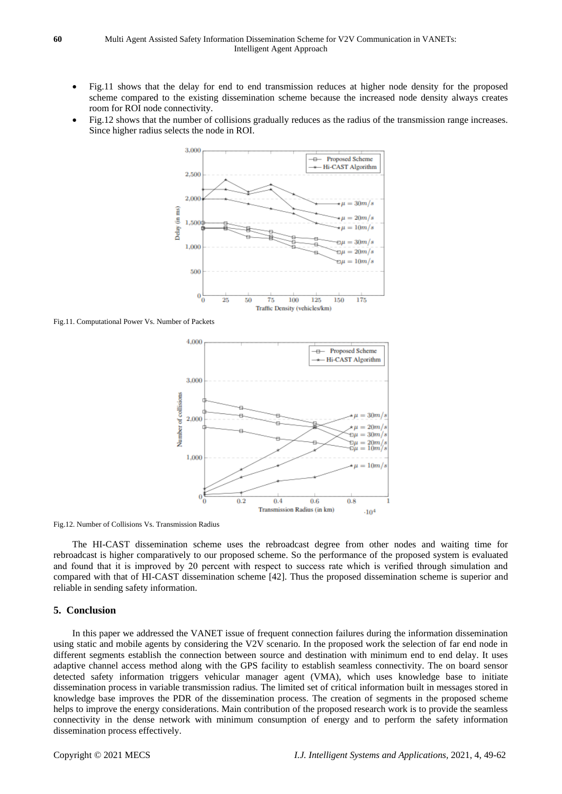- Fig.11 shows that the delay for end to end transmission reduces at higher node density for the proposed scheme compared to the existing dissemination scheme because the increased node density always creates room for ROI node connectivity.
- Fig.12 shows that the number of collisions gradually reduces as the radius of the transmission range increases. Since higher radius selects the node in ROI.



Fig.11. Computational Power Vs. Number of Packets



Fig.12. Number of Collisions Vs. Transmission Radius

The HI-CAST dissemination scheme uses the rebroadcast degree from other nodes and waiting time for rebroadcast is higher comparatively to our proposed scheme. So the performance of the proposed system is evaluated and found that it is improved by 20 percent with respect to success rate which is verified through simulation and compared with that of HI-CAST dissemination scheme [42]. Thus the proposed dissemination scheme is superior and reliable in sending safety information.

#### **5. Conclusion**

In this paper we addressed the VANET issue of frequent connection failures during the information dissemination using static and mobile agents by considering the V2V scenario. In the proposed work the selection of far end node in different segments establish the connection between source and destination with minimum end to end delay. It uses adaptive channel access method along with the GPS facility to establish seamless connectivity. The on board sensor detected safety information triggers vehicular manager agent (VMA), which uses knowledge base to initiate dissemination process in variable transmission radius. The limited set of critical information built in messages stored in knowledge base improves the PDR of the dissemination process. The creation of segments in the proposed scheme helps to improve the energy considerations. Main contribution of the proposed research work is to provide the seamless connectivity in the dense network with minimum consumption of energy and to perform the safety information dissemination process effectively.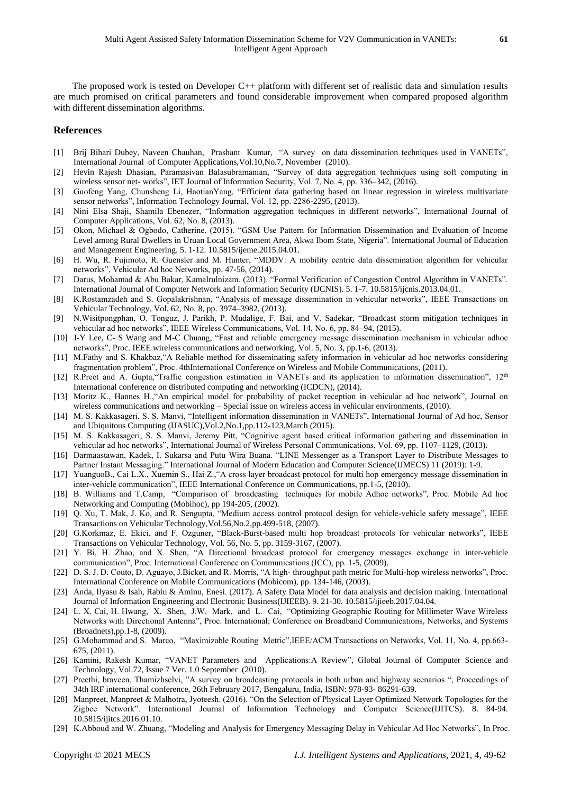The proposed work is tested on Developer C++ platform with different set of realistic data and simulation results are much promised on critical parameters and found considerable improvement when compared proposed algorithm with different dissemination algorithms.

## **References**

- [1] Brij Bihari Dubey, Naveen Chauhan, Prashant Kumar, "A survey on data dissemination techniques used in VANETs", International Journal of Computer Applications,Vol.10,No.7, November (2010).
- [2] Hevin Rajesh Dhasian, Paramasivan Balasubramanian, "Survey of data aggregation techniques using soft computing in wireless sensor net- works", IET Journal of Information Security, Vol. 7, No. 4, pp. 336–342, (2016).
- [3] Guofeng Yang, Chunsheng Li, HaotianYang, "Efficient data gathering based on linear regression in wireless multivariate sensor networks", Information Technology Journal, Vol. 12, pp. 2286-2295, (2013).
- [4] Nini Elsa Shaji, Shamila Ebenezer, "Information aggregation techniques in different networks", International Journal of Computer Applications, Vol. 62, No. 8, (2013).
- [5] Okon, Michael & Ogbodo, Catherine. (2015). "GSM Use Pattern for Information Dissemination and Evaluation of Income Level among Rural Dwellers in Uruan Local Government Area, Akwa Ibom State, Nigeria". International Journal of Education and Management Engineering. 5. 1-12. 10.5815/ijeme.2015.04.01.
- [6] H. Wu, R. Fujimoto, R. Guensler and M. Hunter, "MDDV: A mobility centric data dissemination algorithm for vehicular networks", Vehicular Ad hoc Networks, pp. 47-56, (2014).
- [7] Darus, Mohamad & Abu Bakar, Kamalrulnizam. (2013). "Formal Verification of Congestion Control Algorithm in VANETs". International Journal of Computer Network and Information Security (IJCNIS). 5. 1-7. 10.5815/ijcnis.2013.04.01.
- [8] K.Rostamzadeh and S. Gopalakrishnan, "Analysis of message dissemination in vehicular networks", IEEE Transactions on Vehicular Technology, Vol. 62, No. 8, pp. 3974–3982, (2013).
- [9] N.Wisitpongphan, O. Tonguz, J. Parikh, P. Mudalige, F. Bai, and V. Sadekar, "Broadcast storm mitigation techniques in vehicular ad hoc networks", IEEE Wireless Communications, Vol. 14, No. 6, pp. 84–94, (2015).
- [10] J-Y Lee, C- S Wang and M-C Chuang, "Fast and reliable emergency message dissemination mechanism in vehicular adhoc networks", Proc. IEEE wireless communications and networking, Vol. 5, No. 3, pp.1-6, (2013).
- [11] M.Fathy and S. Khakbaz, "A Reliable method for disseminating safety information in vehicular ad hoc networks considering fragmentation problem", Proc. 4thInternational Conference on Wireless and Mobile Communications, (2011).
- [12] R.Preet and A. Gupta,"Traffic congestion estimation in VANETs and its application to information dissemination", 12th International conference on distributed computing and networking (ICDCN), (2014).
- [13] Moritz K., Hannes H.,"An empirical model for probability of packet reception in vehicular ad hoc network", Journal on wireless communications and networking – Special issue on wireless access in vehicular environments, (2010).
- [14] M. S. Kakkasageri, S. S. Manvi, "Intelligent information dissemination in VANETs", International Journal of Ad hoc, Sensor and Ubiquitous Computing (IJASUC),Vol.2,No.1,pp.112-123,March (2015).
- [15] M. S. Kakkasageri, S. S. Manvi, Jeremy Pitt, "Cognitive agent based critical information gathering and dissemination in vehicular ad hoc networks", International Journal of Wireless Personal Communications, Vol. 69, pp. 1107–1129, (2013).
- [16] Darmaastawan, Kadek, I. Sukarsa and Putu Wira Buana. "LINE Messenger as a Transport Layer to Distribute Messages to Partner Instant Messaging." International Journal of Modern Education and Computer Science(IJMECS) 11 (2019): 1-9.
- [17] YuanguoB., Cai L.X., Xuemin S., Hai Z.,"A cross layer broadcast protocol for multi hop emergency message dissemination in inter-vehicle communication", IEEE International Conference on Communications, pp.1-5, (2010).
- [18] B. Williams and T.Camp, "Comparison of broadcasting techniques for mobile Adhoc networks", Proc. Mobile Ad hoc Networking and Computing (Mobihoc), pp 194-205, (2002).
- [19] Q. Xu, T. Mak, J. Ko, and R. Sengupta, "Medium access control protocol design for vehicle-vehicle safety message", IEEE Transactions on Vehicular Technology,Vol.56,No.2,pp.499-518, (2007).
- [20] G.Korkmaz, E. Ekici, and F. Ozguner, "Black-Burst-based multi hop broadcast protocols for vehicular networks", IEEE Transactions on Vehicular Technology, Vol. 56, No. 5, pp. 3159-3167, (2007).
- [21] Y. Bi, H. Zhao, and X. Shen, "A Directional broadcast protocol for emergency messages exchange in inter-vehicle communication", Proc. International Conference on Communications (ICC), pp. 1-5, (2009).
- [22] D. S. J. D. Couto, D. Aguayo, J.Bicket, and R. Morris, "A high- throughput path metric for Multi-hop wireless networks", Proc. International Conference on Mobile Communications (Mobicom), pp. 134-146, (2003).
- [23] Anda, Ilyasu & Isah, Rabiu & Aminu, Enesi. (2017). A Safety Data Model for data analysis and decision making. International Journal of Information Engineering and Electronic Business(IJIEEB). 9. 21-30. 10.5815/ijieeb.2017.04.04.
- [24] L. X. Cai, H. Hwang, X. Shen, J.W. Mark, and L. Cai, "Optimizing Geographic Routing for Millimeter Wave Wireless Networks with Directional Antenna", Proc. International; Conference on Broadband Communications, Networks, and Systems (Broadnets),pp.1-8, (2009).
- [25] G.Mohammad and S. Marco, "Maximizable Routing Metric",IEEE/ACM Transactions on Networks, Vol. 11, No. 4, pp.663- 675, (2011).
- [26] Kamini, Rakesh Kumar, "VANET Parameters and Applications:A Review", Global Journal of Computer Science and Technology, Vol.72, Issue 7 Ver. 1.0 September (2010).
- [27] Preethi, braveen, Thamizhselvi, "A survey on broadcasting protocols in both urban and highway scenarios ", Proceedings of 34th IRF international conference, 26th February 2017, Bengaluru, India, ISBN: 978-93- 86291-639.
- [28] Manpreet, Manpreet & Malhotra, Jyoteesh. (2016). "On the Selection of Physical Layer Optimized Network Topologies for the Zigbee Network". International Journal of Information Technology and Computer Science(IJITCS). 8. 84-94. 10.5815/ijitcs.2016.01.10.
- [29] K.Abboud and W. Zhuang, "Modeling and Analysis for Emergency Messaging Delay in Vehicular Ad Hoc Networks", In Proc.